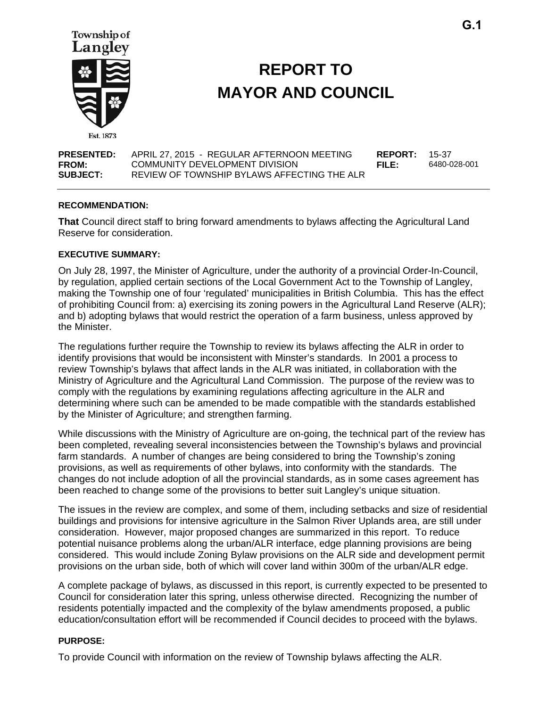

# **REPORT TO MAYOR AND COUNCIL**

| <b>PRESENTED:</b> | APRIL 27. 2015 - REGULAR AFTERNOON MEETING  | <b>REPORT: 15-37</b> |              |
|-------------------|---------------------------------------------|----------------------|--------------|
| <b>FROM:</b>      | COMMUNITY DEVELOPMENT DIVISION              | FILE:                | 6480-028-001 |
| <b>SUBJECT:</b>   | REVIEW OF TOWNSHIP BYLAWS AFFECTING THE ALR |                      |              |

#### **RECOMMENDATION:**

**That** Council direct staff to bring forward amendments to bylaws affecting the Agricultural Land Reserve for consideration.

#### **EXECUTIVE SUMMARY:**

On July 28, 1997, the Minister of Agriculture, under the authority of a provincial Order-In-Council, by regulation, applied certain sections of the Local Government Act to the Township of Langley, making the Township one of four 'regulated' municipalities in British Columbia. This has the effect of prohibiting Council from: a) exercising its zoning powers in the Agricultural Land Reserve (ALR); and b) adopting bylaws that would restrict the operation of a farm business, unless approved by the Minister.

The regulations further require the Township to review its bylaws affecting the ALR in order to identify provisions that would be inconsistent with Minster's standards. In 2001 a process to review Township's bylaws that affect lands in the ALR was initiated, in collaboration with the Ministry of Agriculture and the Agricultural Land Commission. The purpose of the review was to comply with the regulations by examining regulations affecting agriculture in the ALR and determining where such can be amended to be made compatible with the standards established by the Minister of Agriculture; and strengthen farming.

While discussions with the Ministry of Agriculture are on-going, the technical part of the review has been completed, revealing several inconsistencies between the Township's bylaws and provincial farm standards. A number of changes are being considered to bring the Township's zoning provisions, as well as requirements of other bylaws, into conformity with the standards. The changes do not include adoption of all the provincial standards, as in some cases agreement has been reached to change some of the provisions to better suit Langley's unique situation.

The issues in the review are complex, and some of them, including setbacks and size of residential buildings and provisions for intensive agriculture in the Salmon River Uplands area, are still under consideration. However, major proposed changes are summarized in this report. To reduce potential nuisance problems along the urban/ALR interface, edge planning provisions are being considered. This would include Zoning Bylaw provisions on the ALR side and development permit provisions on the urban side, both of which will cover land within 300m of the urban/ALR edge.

A complete package of bylaws, as discussed in this report, is currently expected to be presented to Council for consideration later this spring, unless otherwise directed. Recognizing the number of residents potentially impacted and the complexity of the bylaw amendments proposed, a public education/consultation effort will be recommended if Council decides to proceed with the bylaws.

#### **PURPOSE:**

To provide Council with information on the review of Township bylaws affecting the ALR.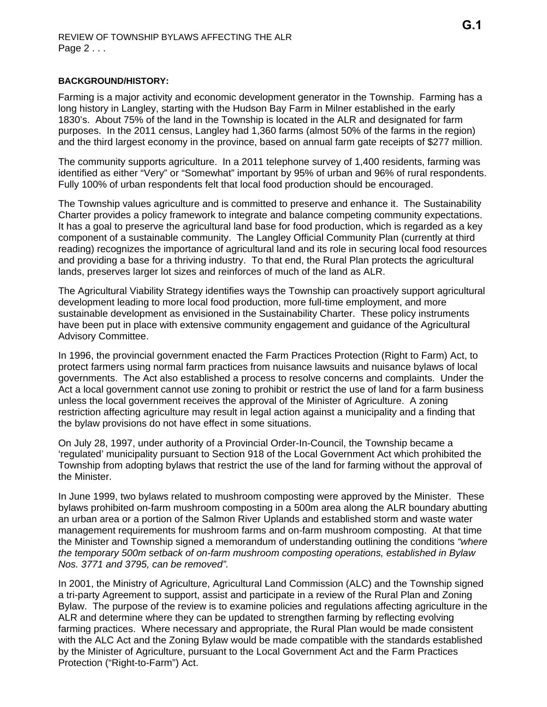## **BACKGROUND/HISTORY:**

Farming is a major activity and economic development generator in the Township. Farming has a long history in Langley, starting with the Hudson Bay Farm in Milner established in the early 1830's. About 75% of the land in the Township is located in the ALR and designated for farm purposes. In the 2011 census, Langley had 1,360 farms (almost 50% of the farms in the region) and the third largest economy in the province, based on annual farm gate receipts of \$277 million.

The community supports agriculture. In a 2011 telephone survey of 1,400 residents, farming was identified as either "Very" or "Somewhat" important by 95% of urban and 96% of rural respondents. Fully 100% of urban respondents felt that local food production should be encouraged.

The Township values agriculture and is committed to preserve and enhance it. The Sustainability Charter provides a policy framework to integrate and balance competing community expectations. It has a goal to preserve the agricultural land base for food production, which is regarded as a key component of a sustainable community. The Langley Official Community Plan (currently at third reading) recognizes the importance of agricultural land and its role in securing local food resources and providing a base for a thriving industry. To that end, the Rural Plan protects the agricultural lands, preserves larger lot sizes and reinforces of much of the land as ALR.

The Agricultural Viability Strategy identifies ways the Township can proactively support agricultural development leading to more local food production, more full-time employment, and more sustainable development as envisioned in the Sustainability Charter. These policy instruments have been put in place with extensive community engagement and guidance of the Agricultural Advisory Committee.

In 1996, the provincial government enacted the Farm Practices Protection (Right to Farm) Act, to protect farmers using normal farm practices from nuisance lawsuits and nuisance bylaws of local governments. The Act also established a process to resolve concerns and complaints. Under the Act a local government cannot use zoning to prohibit or restrict the use of land for a farm business unless the local government receives the approval of the Minister of Agriculture. A zoning restriction affecting agriculture may result in legal action against a municipality and a finding that the bylaw provisions do not have effect in some situations.

On July 28, 1997, under authority of a Provincial Order-In-Council, the Township became a 'regulated' municipality pursuant to Section 918 of the Local Government Act which prohibited the Township from adopting bylaws that restrict the use of the land for farming without the approval of the Minister.

In June 1999, two bylaws related to mushroom composting were approved by the Minister. These bylaws prohibited on-farm mushroom composting in a 500m area along the ALR boundary abutting an urban area or a portion of the Salmon River Uplands and established storm and waste water management requirements for mushroom farms and on-farm mushroom composting. At that time the Minister and Township signed a memorandum of understanding outlining the conditions *"where the temporary 500m setback of on-farm mushroom composting operations, established in Bylaw Nos. 3771 and 3795, can be removed".*

In 2001, the Ministry of Agriculture, Agricultural Land Commission (ALC) and the Township signed a tri-party Agreement to support, assist and participate in a review of the Rural Plan and Zoning Bylaw. The purpose of the review is to examine policies and regulations affecting agriculture in the ALR and determine where they can be updated to strengthen farming by reflecting evolving farming practices. Where necessary and appropriate, the Rural Plan would be made consistent with the ALC Act and the Zoning Bylaw would be made compatible with the standards established by the Minister of Agriculture, pursuant to the Local Government Act and the Farm Practices Protection ("Right-to-Farm") Act.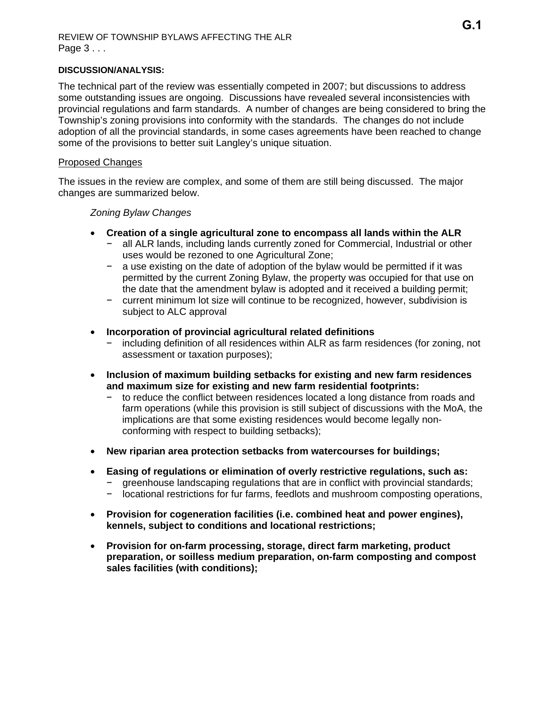## REVIEW OF TOWNSHIP BYLAWS AFFECTING THE ALR Page 3 . . .

## **DISCUSSION/ANALYSIS:**

The technical part of the review was essentially competed in 2007; but discussions to address some outstanding issues are ongoing. Discussions have revealed several inconsistencies with provincial regulations and farm standards. A number of changes are being considered to bring the Township's zoning provisions into conformity with the standards. The changes do not include adoption of all the provincial standards, in some cases agreements have been reached to change some of the provisions to better suit Langley's unique situation.

## Proposed Changes

The issues in the review are complex, and some of them are still being discussed. The major changes are summarized below.

## *Zoning Bylaw Changes*

- **Creation of a single agricultural zone to encompass all lands within the ALR** 
	- − all ALR lands, including lands currently zoned for Commercial, Industrial or other uses would be rezoned to one Agricultural Zone;
	- − a use existing on the date of adoption of the bylaw would be permitted if it was permitted by the current Zoning Bylaw, the property was occupied for that use on the date that the amendment bylaw is adopted and it received a building permit;
	- − current minimum lot size will continue to be recognized, however, subdivision is subject to ALC approval
- **Incorporation of provincial agricultural related definitions** 
	- − including definition of all residences within ALR as farm residences (for zoning, not assessment or taxation purposes);
- **Inclusion of maximum building setbacks for existing and new farm residences and maximum size for existing and new farm residential footprints:** 
	- to reduce the conflict between residences located a long distance from roads and farm operations (while this provision is still subject of discussions with the MoA, the implications are that some existing residences would become legally nonconforming with respect to building setbacks);
- **New riparian area protection setbacks from watercourses for buildings;**
- **Easing of regulations or elimination of overly restrictive regulations, such as:**
	- − greenhouse landscaping regulations that are in conflict with provincial standards;
	- − locational restrictions for fur farms, feedlots and mushroom composting operations,
- **Provision for cogeneration facilities (i.e. combined heat and power engines), kennels, subject to conditions and locational restrictions;**
- **Provision for on-farm processing, storage, direct farm marketing, product preparation, or soilless medium preparation, on-farm composting and compost sales facilities (with conditions);**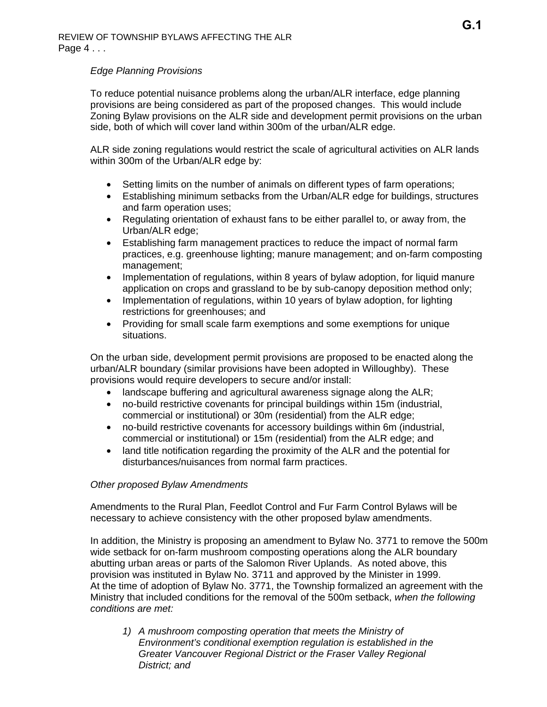# *Edge Planning Provisions*

To reduce potential nuisance problems along the urban/ALR interface, edge planning provisions are being considered as part of the proposed changes. This would include Zoning Bylaw provisions on the ALR side and development permit provisions on the urban side, both of which will cover land within 300m of the urban/ALR edge.

ALR side zoning regulations would restrict the scale of agricultural activities on ALR lands within 300m of the Urban/ALR edge by:

- Setting limits on the number of animals on different types of farm operations;
- Establishing minimum setbacks from the Urban/ALR edge for buildings, structures and farm operation uses;
- Regulating orientation of exhaust fans to be either parallel to, or away from, the Urban/ALR edge;
- Establishing farm management practices to reduce the impact of normal farm practices, e.g. greenhouse lighting; manure management; and on-farm composting management;
- Implementation of regulations, within 8 years of bylaw adoption, for liquid manure application on crops and grassland to be by sub-canopy deposition method only;
- Implementation of regulations, within 10 years of bylaw adoption, for lighting restrictions for greenhouses; and
- Providing for small scale farm exemptions and some exemptions for unique situations.

On the urban side, development permit provisions are proposed to be enacted along the urban/ALR boundary (similar provisions have been adopted in Willoughby). These provisions would require developers to secure and/or install:

- landscape buffering and agricultural awareness signage along the ALR;
- no-build restrictive covenants for principal buildings within 15m (industrial, commercial or institutional) or 30m (residential) from the ALR edge;
- no-build restrictive covenants for accessory buildings within 6m (industrial, commercial or institutional) or 15m (residential) from the ALR edge; and
- land title notification regarding the proximity of the ALR and the potential for disturbances/nuisances from normal farm practices.

## *Other proposed Bylaw Amendments*

Amendments to the Rural Plan, Feedlot Control and Fur Farm Control Bylaws will be necessary to achieve consistency with the other proposed bylaw amendments.

In addition, the Ministry is proposing an amendment to Bylaw No. 3771 to remove the 500m wide setback for on-farm mushroom composting operations along the ALR boundary abutting urban areas or parts of the Salomon River Uplands. As noted above, this provision was instituted in Bylaw No. 3711 and approved by the Minister in 1999. At the time of adoption of Bylaw No. 3771, the Township formalized an agreement with the Ministry that included conditions for the removal of the 500m setback, *when the following conditions are met:*

*1) A mushroom composting operation that meets the Ministry of Environment's conditional exemption regulation is established in the Greater Vancouver Regional District or the Fraser Valley Regional District; and*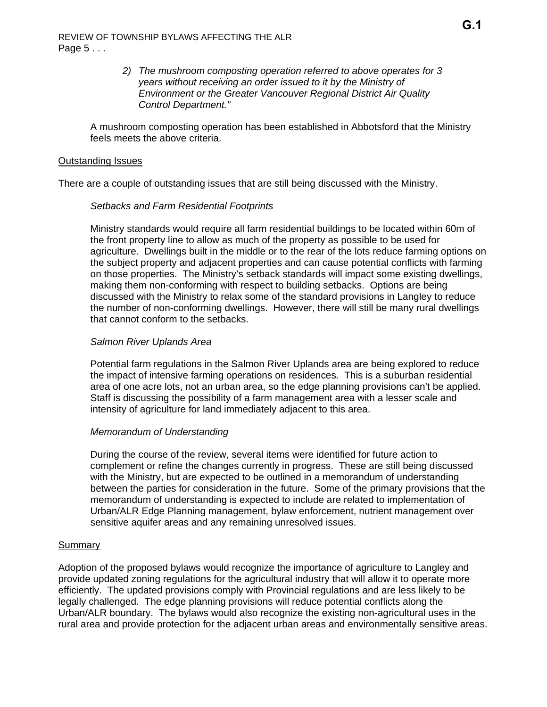## *2) The mushroom composting operation referred to above operates for 3 years without receiving an order issued to it by the Ministry of Environment or the Greater Vancouver Regional District Air Quality Control Department."*

A mushroom composting operation has been established in Abbotsford that the Ministry feels meets the above criteria.

## Outstanding Issues

There are a couple of outstanding issues that are still being discussed with the Ministry.

#### *Setbacks and Farm Residential Footprints*

Ministry standards would require all farm residential buildings to be located within 60m of the front property line to allow as much of the property as possible to be used for agriculture. Dwellings built in the middle or to the rear of the lots reduce farming options on the subject property and adjacent properties and can cause potential conflicts with farming on those properties. The Ministry's setback standards will impact some existing dwellings, making them non-conforming with respect to building setbacks. Options are being discussed with the Ministry to relax some of the standard provisions in Langley to reduce the number of non-conforming dwellings. However, there will still be many rural dwellings that cannot conform to the setbacks.

## *Salmon River Uplands Area*

Potential farm regulations in the Salmon River Uplands area are being explored to reduce the impact of intensive farming operations on residences. This is a suburban residential area of one acre lots, not an urban area, so the edge planning provisions can't be applied. Staff is discussing the possibility of a farm management area with a lesser scale and intensity of agriculture for land immediately adjacent to this area.

## *Memorandum of Understanding*

During the course of the review, several items were identified for future action to complement or refine the changes currently in progress. These are still being discussed with the Ministry, but are expected to be outlined in a memorandum of understanding between the parties for consideration in the future. Some of the primary provisions that the memorandum of understanding is expected to include are related to implementation of Urban/ALR Edge Planning management, bylaw enforcement, nutrient management over sensitive aquifer areas and any remaining unresolved issues.

#### **Summary**

Adoption of the proposed bylaws would recognize the importance of agriculture to Langley and provide updated zoning regulations for the agricultural industry that will allow it to operate more efficiently. The updated provisions comply with Provincial regulations and are less likely to be legally challenged. The edge planning provisions will reduce potential conflicts along the Urban/ALR boundary. The bylaws would also recognize the existing non-agricultural uses in the rural area and provide protection for the adjacent urban areas and environmentally sensitive areas.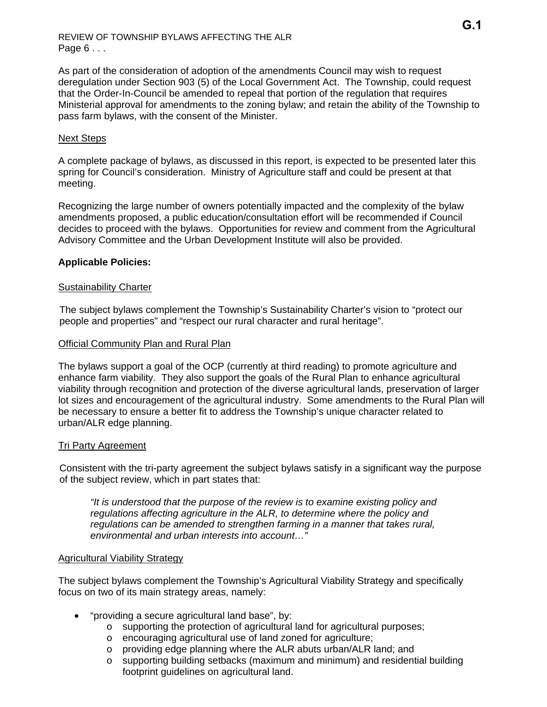As part of the consideration of adoption of the amendments Council may wish to request deregulation under Section 903 (5) of the Local Government Act. The Township, could request that the Order-In-Council be amended to repeal that portion of the regulation that requires Ministerial approval for amendments to the zoning bylaw; and retain the ability of the Township to pass farm bylaws, with the consent of the Minister.

# Next Steps

A complete package of bylaws, as discussed in this report, is expected to be presented later this spring for Council's consideration. Ministry of Agriculture staff and could be present at that meeting.

Recognizing the large number of owners potentially impacted and the complexity of the bylaw amendments proposed, a public education/consultation effort will be recommended if Council decides to proceed with the bylaws. Opportunities for review and comment from the Agricultural Advisory Committee and the Urban Development Institute will also be provided.

# **Applicable Policies:**

# Sustainability Charter

The subject bylaws complement the Township's Sustainability Charter's vision to "protect our people and properties" and "respect our rural character and rural heritage".

## Official Community Plan and Rural Plan

The bylaws support a goal of the OCP (currently at third reading) to promote agriculture and enhance farm viability. They also support the goals of the Rural Plan to enhance agricultural viability through recognition and protection of the diverse agricultural lands, preservation of larger lot sizes and encouragement of the agricultural industry. Some amendments to the Rural Plan will be necessary to ensure a better fit to address the Township's unique character related to urban/ALR edge planning.

## Tri Party Agreement

Consistent with the tri-party agreement the subject bylaws satisfy in a significant way the purpose of the subject review, which in part states that:

*"It is understood that the purpose of the review is to examine existing policy and regulations affecting agriculture in the ALR, to determine where the policy and regulations can be amended to strengthen farming in a manner that takes rural, environmental and urban interests into account…"* 

## Agricultural Viability Strategy

The subject bylaws complement the Township's Agricultural Viability Strategy and specifically focus on two of its main strategy areas, namely:

- "providing a secure agricultural land base", by:
	- o supporting the protection of agricultural land for agricultural purposes;
	- o encouraging agricultural use of land zoned for agriculture;
	- o providing edge planning where the ALR abuts urban/ALR land; and
	- o supporting building setbacks (maximum and minimum) and residential building footprint guidelines on agricultural land.